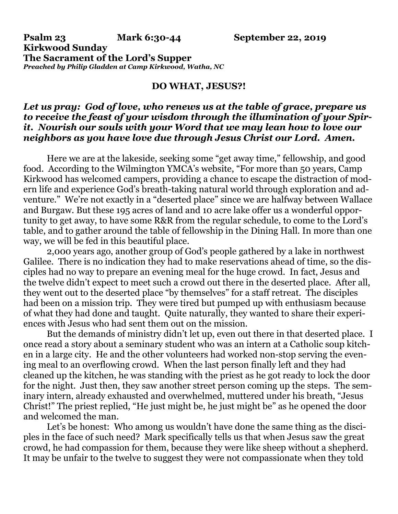### **Psalm 23 Mark 6:30-44 September 22, 2019 Kirkwood Sunday The Sacrament of the Lord's Supper** *Preached by Philip Gladden at Camp Kirkwood, Watha, NC*

# **DO WHAT, JESUS?!**

## *Let us pray: God of love, who renews us at the table of grace, prepare us to receive the feast of your wisdom through the illumination of your Spirit. Nourish our souls with your Word that we may lean how to love our neighbors as you have love due through Jesus Christ our Lord. Amen.*

Here we are at the lakeside, seeking some "get away time," fellowship, and good food. According to the Wilmington YMCA's website, "For more than 50 years, Camp Kirkwood has welcomed campers, providing a chance to escape the distraction of modern life and experience God's breath-taking natural world through exploration and adventure." We're not exactly in a "deserted place" since we are halfway between Wallace and Burgaw. But these 195 acres of land and 10 acre lake offer us a wonderful opportunity to get away, to have some R&R from the regular schedule, to come to the Lord's table, and to gather around the table of fellowship in the Dining Hall. In more than one way, we will be fed in this beautiful place.

2,000 years ago, another group of God's people gathered by a lake in northwest Galilee. There is no indication they had to make reservations ahead of time, so the disciples had no way to prepare an evening meal for the huge crowd. In fact, Jesus and the twelve didn't expect to meet such a crowd out there in the deserted place. After all, they went out to the deserted place "by themselves" for a staff retreat. The disciples had been on a mission trip. They were tired but pumped up with enthusiasm because of what they had done and taught. Quite naturally, they wanted to share their experiences with Jesus who had sent them out on the mission.

But the demands of ministry didn't let up, even out there in that deserted place. I once read a story about a seminary student who was an intern at a Catholic soup kitchen in a large city. He and the other volunteers had worked non-stop serving the evening meal to an overflowing crowd. When the last person finally left and they had cleaned up the kitchen, he was standing with the priest as he got ready to lock the door for the night. Just then, they saw another street person coming up the steps. The seminary intern, already exhausted and overwhelmed, muttered under his breath, "Jesus Christ!" The priest replied, "He just might be, he just might be" as he opened the door and welcomed the man.

Let's be honest: Who among us wouldn't have done the same thing as the disciples in the face of such need? Mark specifically tells us that when Jesus saw the great crowd, he had compassion for them, because they were like sheep without a shepherd. It may be unfair to the twelve to suggest they were not compassionate when they told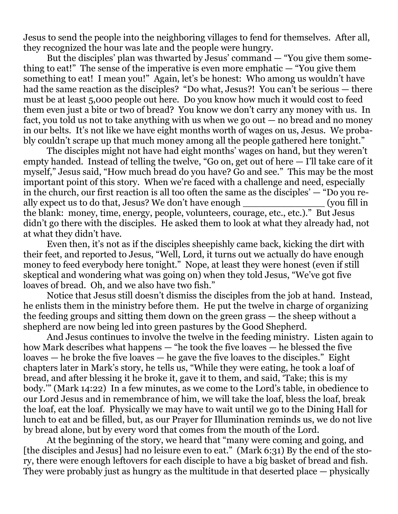Jesus to send the people into the neighboring villages to fend for themselves. After all, they recognized the hour was late and the people were hungry.

But the disciples' plan was thwarted by Jesus' command — "You give them something to eat!" The sense of the imperative is even more emphatic — "You give them something to eat! I mean you!" Again, let's be honest: Who among us wouldn't have had the same reaction as the disciples? "Do what, Jesus?! You can't be serious — there must be at least 5,000 people out here. Do you know how much it would cost to feed them even just a bite or two of bread? You know we don't carry any money with us. In fact, you told us not to take anything with us when we go out — no bread and no money in our belts. It's not like we have eight months worth of wages on us, Jesus. We probably couldn't scrape up that much money among all the people gathered here tonight."

The disciples might not have had eight months' wages on hand, but they weren't empty handed. Instead of telling the twelve, "Go on, get out of here  $-1$ 'll take care of it myself," Jesus said, "How much bread do you have? Go and see." This may be the most important point of this story. When we're faced with a challenge and need, especially in the church, our first reaction is all too often the same as the disciples' — "Do you really expect us to do that, Jesus? We don't have enough \_\_\_\_\_\_\_\_\_\_\_\_\_\_ (you fill in the blank: money, time, energy, people, volunteers, courage, etc., etc.)." But Jesus didn't go there with the disciples. He asked them to look at what they already had, not at what they didn't have.

Even then, it's not as if the disciples sheepishly came back, kicking the dirt with their feet, and reported to Jesus, "Well, Lord, it turns out we actually do have enough money to feed everybody here tonight." Nope, at least they were honest (even if still skeptical and wondering what was going on) when they told Jesus, "We've got five loaves of bread. Oh, and we also have two fish."

Notice that Jesus still doesn't dismiss the disciples from the job at hand. Instead, he enlists them in the ministry before them. He put the twelve in charge of organizing the feeding groups and sitting them down on the green grass — the sheep without a shepherd are now being led into green pastures by the Good Shepherd.

And Jesus continues to involve the twelve in the feeding ministry. Listen again to how Mark describes what happens — "he took the five loaves — he blessed the five loaves — he broke the five loaves — he gave the five loaves to the disciples." Eight chapters later in Mark's story, he tells us, "While they were eating, he took a loaf of bread, and after blessing it he broke it, gave it to them, and said, 'Take; this is my body.'" (Mark 14:22) In a few minutes, as we come to the Lord's table, in obedience to our Lord Jesus and in remembrance of him, we will take the loaf, bless the loaf, break the loaf, eat the loaf. Physically we may have to wait until we go to the Dining Hall for lunch to eat and be filled, but, as our Prayer for Illumination reminds us, we do not live by bread alone, but by every word that comes from the mouth of the Lord.

At the beginning of the story, we heard that "many were coming and going, and [the disciples and Jesus] had no leisure even to eat." (Mark 6:31) By the end of the story, there were enough leftovers for each disciple to have a big basket of bread and fish. They were probably just as hungry as the multitude in that deserted place — physically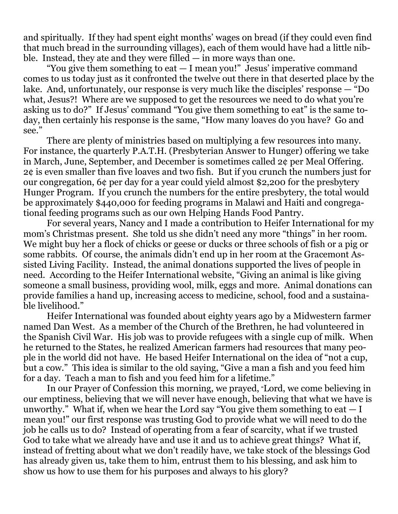and spiritually. If they had spent eight months' wages on bread (if they could even find that much bread in the surrounding villages), each of them would have had a little nibble. Instead, they ate and they were filled  $-$  in more ways than one.

"You give them something to eat  $-$  I mean you!" Jesus' imperative command comes to us today just as it confronted the twelve out there in that deserted place by the lake. And, unfortunately, our response is very much like the disciples' response — "Do what, Jesus?! Where are we supposed to get the resources we need to do what you're asking us to do?" If Jesus' command "You give them something to eat" is the same today, then certainly his response is the same, "How many loaves do you have? Go and see."

There are plenty of ministries based on multiplying a few resources into many. For instance, the quarterly P.A.T.H. (Presbyterian Answer to Hunger) offering we take in March, June, September, and December is sometimes called 2¢ per Meal Offering. 2¢ is even smaller than five loaves and two fish. But if you crunch the numbers just for our congregation, 6¢ per day for a year could yield almost \$2,200 for the presbytery Hunger Program. If you crunch the numbers for the entire presbytery, the total would be approximately \$440,000 for feeding programs in Malawi and Haiti and congregational feeding programs such as our own Helping Hands Food Pantry.

For several years, Nancy and I made a contribution to Heifer International for my mom's Christmas present. She told us she didn't need any more "things" in her room. We might buy her a flock of chicks or geese or ducks or three schools of fish or a pig or some rabbits. Of course, the animals didn't end up in her room at the Gracemont Assisted Living Facility. Instead, the animal donations supported the lives of people in need. According to the Heifer International website, "Giving an animal is like giving someone a small business, providing wool, milk, eggs and more. Animal donations can provide families a hand up, increasing access to medicine, school, food and a sustainable livelihood."

Heifer International was founded about eighty years ago by a Midwestern farmer named Dan West. As a member of the Church of the Brethren, he had volunteered in the Spanish Civil War. His job was to provide refugees with a single cup of milk. When he returned to the States, he realized American farmers had resources that many people in the world did not have. He based Heifer International on the idea of "not a cup, but a cow." This idea is similar to the old saying, "Give a man a fish and you feed him for a day. Teach a man to fish and you feed him for a lifetime."

In our Prayer of Confession this morning, we prayed, "Lord, we come believing in our emptiness, believing that we will never have enough, believing that what we have is unworthy." What if, when we hear the Lord say "You give them something to eat  $-1$ mean you!" our first response was trusting God to provide what we will need to do the job he calls us to do? Instead of operating from a fear of scarcity, what if we trusted God to take what we already have and use it and us to achieve great things? What if, instead of fretting about what we don't readily have, we take stock of the blessings God has already given us, take them to him, entrust them to his blessing, and ask him to show us how to use them for his purposes and always to his glory?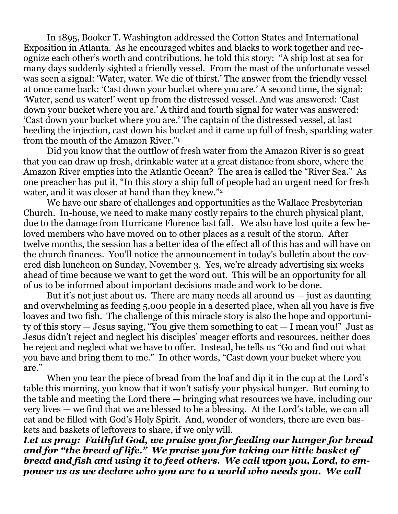In 1895, Booker T. Washington addressed the Cotton States and International Exposition in Atlanta. As he encouraged whites and blacks to work together and recognize each other's worth and contributions, he told this story: "A ship lost at sea for many days suddenly sighted a friendly vessel. From the mast of the unfortunate vessel was seen a signal: 'Water, water. We die of thirst.' The answer from the friendly vessel at once came back: 'Cast down your bucket where you are.' A second time, the signal: 'Water, send us water!' went up from the distressed vessel. And was answered: 'Cast down your bucket where you are.' A third and fourth signal for water was answered: 'Cast down your bucket where you are.' The captain of the distressed vessel, at last heeding the injection, cast down his bucket and it came up full of fresh, sparkling water from the mouth of the Amazon River."<sup>1</sup>

Did you know that the outflow of fresh water from the Amazon River is so great that you can draw up fresh, drinkable water at a great distance from shore, where the Amazon River empties into the Atlantic Ocean? The area is called the "River Sea." As one preacher has put it, "In this story a ship full of people had an urgent need for fresh water, and it was closer at hand than they knew."2

We have our share of challenges and opportunities as the Wallace Presbyterian Church. In-house, we need to make many costly repairs to the church physical plant, due to the damage from Hurricane Florence last fall. We also have lost quite a few beloved members who have moved on to other places as a result of the storm. After twelve months, the session has a better idea of the effect all of this has and will have on the church finances. You'll notice the announcement in today's bulletin about the covered dish luncheon on Sunday, November 3. Yes, we're already advertising six weeks ahead of time because we want to get the word out. This will be an opportunity for all of us to be informed about important decisions made and work to be done.

But it's not just about us. There are many needs all around us  $-$  just as daunting and overwhelming as feeding 5,000 people in a deserted place, when all you have is five loaves and two fish. The challenge of this miracle story is also the hope and opportunity of this story — Jesus saying, "You give them something to eat — I mean you!" Just as Jesus didn't reject and neglect his disciples' meager efforts and resources, neither does he reject and neglect what we have to offer. Instead, he tells us "Go and find out what you have and bring them to me." In other words, "Cast down your bucket where you are."

When you tear the piece of bread from the loaf and dip it in the cup at the Lord's table this morning, you know that it won't satisfy your physical hunger. But coming to the table and meeting the Lord there — bringing what resources we have, including our very lives — we find that we are blessed to be a blessing. At the Lord's table, we can all eat and be filled with God's Holy Spirit. And, wonder of wonders, there are even baskets and baskets of leftovers to share, if we only will.

*Let us pray: Faithful God, we praise you for feeding our hunger for bread and for "the bread of life." We praise you for taking our little basket of bread and fish and using it to feed others. We call upon you, Lord, to empower us as we declare who you are to a world who needs you. We call*